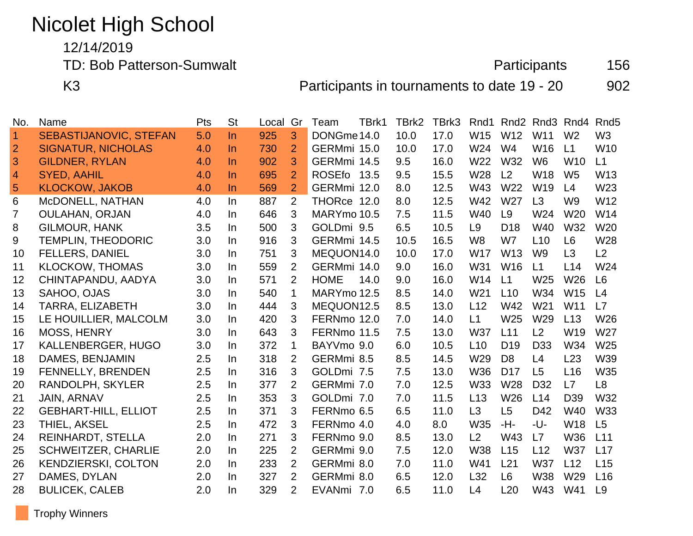# Nicolet High School

12/14/2019

TD: Bob Patterson-Sumwalt **Participants** 156

K3 **Participants in tournaments to date 19 - 20** 902

| No.            | Name                          | Pts | <b>St</b> | Local | Gr             | Team        | TBrk1 | TBrk2 | TBrk3 | Rnd1            | Rnd <sub>2</sub> | Rnd <sub>3</sub> | Rnd <sub>4</sub> | Rnd <sub>5</sub> |
|----------------|-------------------------------|-----|-----------|-------|----------------|-------------|-------|-------|-------|-----------------|------------------|------------------|------------------|------------------|
| $\overline{1}$ | <b>SEBASTIJANOVIC, STEFAN</b> | 5.0 | $\ln$     | 925   | 3              | DONGme 14.0 |       | 10.0  | 17.0  | W15             | W12              | W11              | W <sub>2</sub>   | W <sub>3</sub>   |
| $\overline{2}$ | <b>SIGNATUR, NICHOLAS</b>     | 4.0 | $\ln$     | 730   | $\overline{2}$ | GERMmi 15.0 |       | 10.0  | 17.0  | W24             | W <sub>4</sub>   | W16              | L1               | W <sub>10</sub>  |
| 3              | <b>GILDNER, RYLAN</b>         | 4.0 | In.       | 902   | 3              | GERMmi 14.5 |       | 9.5   | 16.0  | W22             | W32              | W <sub>6</sub>   | <b>W10</b>       | L1               |
| $\overline{4}$ | <b>SYED, AAHIL</b>            | 4.0 | $\ln$     | 695   | $\overline{2}$ | ROSEfo 13.5 |       | 9.5   | 15.5  | W28             | L2               | W18              | W <sub>5</sub>   | W13              |
| 5              | <b>KLOCKOW, JAKOB</b>         | 4.0 | $\ln$     | 569   | $\overline{2}$ | GERMmi 12.0 |       | 8.0   | 12.5  | W43             | W22              | W <sub>19</sub>  | L4               | W23              |
| 6              | McDONELL, NATHAN              | 4.0 | In        | 887   | 2              | THORce 12.0 |       | 8.0   | 12.5  | W42             | W <sub>27</sub>  | L3               | W <sub>9</sub>   | W12              |
| 7              | <b>OULAHAN, ORJAN</b>         | 4.0 | $\ln$     | 646   | 3              | MARYmo 10.5 |       | 7.5   | 11.5  | W40             | L9               | W24              | W <sub>20</sub>  | W14              |
| 8              | <b>GILMOUR, HANK</b>          | 3.5 | In        | 500   | 3              | GOLDmi 9.5  |       | 6.5   | 10.5  | L <sub>9</sub>  | D <sub>18</sub>  | W40              | W32              | W20              |
| 9              | <b>TEMPLIN, THEODORIC</b>     | 3.0 | In.       | 916   | 3              | GERMmi 14.5 |       | 10.5  | 16.5  | W <sub>8</sub>  | W7               | L10              | L <sub>6</sub>   | W28              |
| 10             | <b>FELLERS, DANIEL</b>        | 3.0 | In.       | 751   | 3              | MEQUON14.0  |       | 10.0  | 17.0  | <b>W17</b>      | W <sub>13</sub>  | W <sub>9</sub>   | L3               | L2               |
| 11             | <b>KLOCKOW, THOMAS</b>        | 3.0 | In.       | 559   | $\overline{2}$ | GERMmi 14.0 |       | 9.0   | 16.0  | W31             | <b>W16</b>       | L1               | L14              | W24              |
| 12             | CHINTAPANDU, AADYA            | 3.0 | In.       | 571   | $\overline{2}$ | <b>HOME</b> | 14.0  | 9.0   | 16.0  | W14             | L1               | W25              | W26              | L6               |
| 13             | SAHOO, OJAS                   | 3.0 | In.       | 540   | $\mathbf{1}$   | MARYmo 12.5 |       | 8.5   | 14.0  | W <sub>21</sub> | L10              | W34              | <b>W15</b>       | L <sub>4</sub>   |
| 14             | TARRA, ELIZABETH              | 3.0 | In.       | 444   | 3              | MEQUON12.5  |       | 8.5   | 13.0  | L12             | W42              | W21              | W11              | L7               |
| 15             | LE HOUILLIER, MALCOLM         | 3.0 | In        | 420   | 3              | FERNmo 12.0 |       | 7.0   | 14.0  | L1              | W25              | W29              | L13              | W26              |
| 16             | <b>MOSS, HENRY</b>            | 3.0 | In.       | 643   | 3              | FERNmo 11.5 |       | 7.5   | 13.0  | <b>W37</b>      | L11              | L2               | W <sub>19</sub>  | W27              |
| 17             | KALLENBERGER, HUGO            | 3.0 | In        | 372   | 1              | BAYVmo 9.0  |       | 6.0   | 10.5  | L10             | D <sub>19</sub>  | D <sub>33</sub>  | W34              | W <sub>25</sub>  |
| 18             | DAMES, BENJAMIN               | 2.5 | In        | 318   | 2              | GERMmi 8.5  |       | 8.5   | 14.5  | W29             | D <sub>8</sub>   | L4               | L23              | W39              |
| 19             | FENNELLY, BRENDEN             | 2.5 | In.       | 316   | 3              | GOLDmi 7.5  |       | 7.5   | 13.0  | W36             | D <sub>17</sub>  | L <sub>5</sub>   | L <sub>16</sub>  | W35              |
| 20             | RANDOLPH, SKYLER              | 2.5 | In.       | 377   | 2              | GERMmi 7.0  |       | 7.0   | 12.5  | <b>W33</b>      | W <sub>28</sub>  | D <sub>32</sub>  | L7               | L <sub>8</sub>   |
| 21             | JAIN, ARNAV                   | 2.5 | In.       | 353   | 3              | GOLDmi 7.0  |       | 7.0   | 11.5  | L13             | W26              | L14              | D <sub>39</sub>  | W32              |
| 22             | <b>GEBHART-HILL, ELLIOT</b>   | 2.5 | In        | 371   | 3              | FERNmo 6.5  |       | 6.5   | 11.0  | L3              | L <sub>5</sub>   | D42              | W40              | <b>W33</b>       |
| 23             | <b>THIEL, AKSEL</b>           | 2.5 | In        | 472   | 3              | FERNmo 4.0  |       | 4.0   | 8.0   | W35             | -H-              | -U-              | <b>W18</b>       | L5               |
| 24             | REINHARDT, STELLA             | 2.0 | In.       | 271   | 3              | FERNmo 9.0  |       | 8.5   | 13.0  | L2              | W43              | L7               | <b>W36</b>       | L11              |
| 25             | <b>SCHWEITZER, CHARLIE</b>    | 2.0 | In.       | 225   | 2              | GERMmi 9.0  |       | 7.5   | 12.0  | <b>W38</b>      | L15              | L12              | <b>W37</b>       | L17              |
| 26             | <b>KENDZIERSKI, COLTON</b>    | 2.0 | In.       | 233   | 2              | GERMmi 8.0  |       | 7.0   | 11.0  | W41             | L21              | <b>W37</b>       | L12              | L15              |
| 27             | DAMES, DYLAN                  | 2.0 | In.       | 327   | $\overline{2}$ | GERMmi 8.0  |       | 6.5   | 12.0  | L32             | L6               | <b>W38</b>       | W29              | L16              |
| 28             | <b>BULICEK, CALEB</b>         | 2.0 | <b>In</b> | 329   | $\overline{2}$ | EVANmi 7.0  |       | 6.5   | 11.0  | L4              | L20              | W43              | W41              | L9               |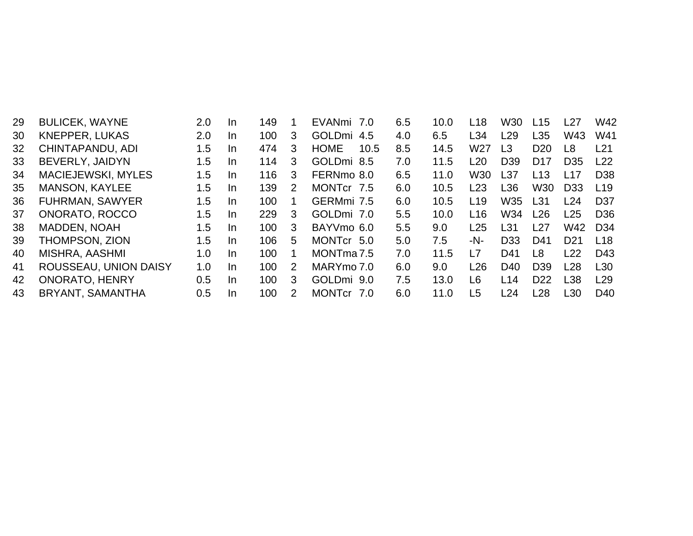| 29 | <b>BULICEK, WAYNE</b>     | 2.0 | In. | 149 |   | EVANmi 7.0             | 6.5 | 10.0 | L <sub>18</sub> | W <sub>30</sub> | L15             | L27             | W42             |
|----|---------------------------|-----|-----|-----|---|------------------------|-----|------|-----------------|-----------------|-----------------|-----------------|-----------------|
| 30 | <b>KNEPPER, LUKAS</b>     | 2.0 | In. | 100 | 3 | <b>GOLDmi</b><br>4.5   | 4.0 | 6.5  | L34             | L <sub>29</sub> | L <sub>35</sub> | W43             | W41             |
| 32 | CHINTAPANDU, ADI          | 1.5 | In  | 474 | 3 | <b>HOME</b><br>10.5    | 8.5 | 14.5 | W <sub>27</sub> | L <sub>3</sub>  | D <sub>20</sub> | L8              | L21             |
| 33 | <b>BEVERLY, JAIDYN</b>    | 1.5 | In. | 114 | 3 | GOLDmi 8.5             | 7.0 | 11.5 | L20             | D <sub>39</sub> | D <sub>17</sub> | D <sub>35</sub> | L22             |
| 34 | <b>MACIEJEWSKI, MYLES</b> | 1.5 | In. | 116 | 3 | FERNmo 8.0             | 6.5 | 11.0 | W30             | L37             | L13             | l 17            | D <sub>38</sub> |
| 35 | <b>MANSON, KAYLEE</b>     | 1.5 | In. | 139 | 2 | MONTCr 7.5             | 6.0 | 10.5 | L23             | L36             | W <sub>30</sub> | D <sub>33</sub> | L19             |
| 36 | <b>FUHRMAN, SAWYER</b>    | 1.5 | In. | 100 |   | GERMmi 7.5             | 6.0 | 10.5 | L <sub>19</sub> | W35             | L <sub>31</sub> | L24             | D <sub>37</sub> |
| 37 | ONORATO, ROCCO            | 1.5 | In. | 229 | 3 | GOLDmi 7.0             | 5.5 | 10.0 | L <sub>16</sub> | W34             | L26             | L25             | D <sub>36</sub> |
| 38 | MADDEN, NOAH              | 1.5 | In. | 100 | 3 | BAYVmo 6.0             | 5.5 | 9.0  | L25             | L <sub>31</sub> | L27             | W42             | D <sub>34</sub> |
| 39 | THOMPSON, ZION            | 1.5 | In. | 106 | 5 | MONTcr 5.0             | 5.0 | 7.5  | -N-             | D <sub>33</sub> | D41             | D <sub>21</sub> | L <sub>18</sub> |
| 40 | MISHRA, AASHMI            | 1.0 | In. | 100 |   | MONTma <sub>7.5</sub>  | 7.0 | 11.5 | L7              | D41             | L <sub>8</sub>  | L22             | D43             |
| 41 | ROUSSEAU, UNION DAISY     | 1.0 | In. | 100 | 2 | MARYmo 7.0             | 6.0 | 9.0  | L26             | D <sub>40</sub> | D <sub>39</sub> | L28             | L30             |
| 42 | <b>ONORATO, HENRY</b>     | 0.5 | In. | 100 | 3 | GOLDmi 9.0             | 7.5 | 13.0 | L <sub>6</sub>  | L14             | D <sub>22</sub> | L38             | L29             |
| 43 | BRYANT, SAMANTHA          | 0.5 | In. | 100 | 2 | <b>MONTcr</b><br>. 7.0 | 6.0 | 11.0 | L5              | L24             | L28             | L30             | D40             |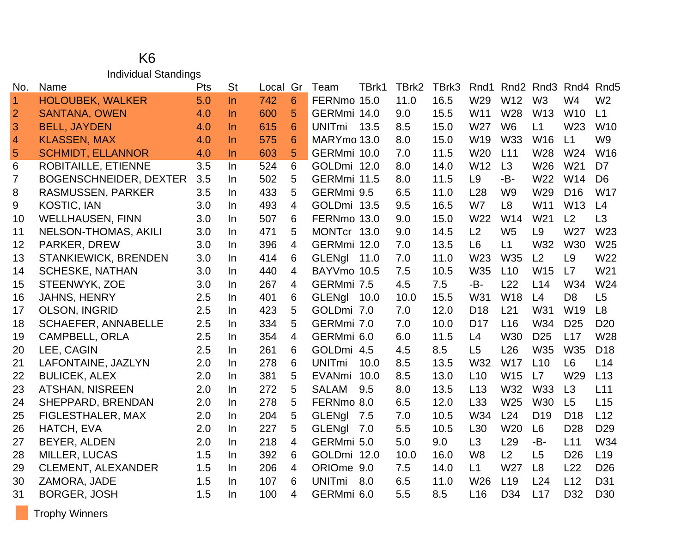#### K6 Individual Standings

| No.            | Name                          | Pts | <b>St</b> | Local | Gr | Team          | TBrk1 | TBrk2 | TBrk3 | Rnd1            |                 | Rnd <sub>2</sub> Rnd <sub>3</sub> | Rnd4            | Rnd <sub>5</sub> |
|----------------|-------------------------------|-----|-----------|-------|----|---------------|-------|-------|-------|-----------------|-----------------|-----------------------------------|-----------------|------------------|
| $\vert$ 1      | <b>HOLOUBEK, WALKER</b>       | 5.0 | $\ln$     | 742   | 6  | FERNmo 15.0   |       | 11.0  | 16.5  | W29             | W12             | W <sub>3</sub>                    | W4              | W <sub>2</sub>   |
| $\overline{2}$ | <b>SANTANA, OWEN</b>          | 4.0 | In.       | 600   | 5  | GERMmi 14.0   |       | 9.0   | 15.5  | W11             | W28             | W <sub>13</sub>                   | <b>W10</b>      | L1               |
| 3              | <b>BELL, JAYDEN</b>           | 4.0 | $\ln$     | 615   | 6  | <b>UNITmi</b> | 13.5  | 8.5   | 15.0  | W27             | W <sub>6</sub>  | L1                                | W23             | W <sub>10</sub>  |
| $\overline{4}$ | <b>KLASSEN, MAX</b>           | 4.0 | In.       | 575   | 6  | MARYmo 13.0   |       | 8.0   | 15.0  | W <sub>19</sub> | W33             | W <sub>16</sub>                   | L1              | W <sub>9</sub>   |
| 5              | <b>SCHMIDT, ELLANNOR</b>      | 4.0 | In.       | 603   | 5  | GERMmi 10.0   |       | 7.0   | 11.5  | W20             | L11             | W28                               | W24             | W16              |
| 6              | <b>ROBITAILLE, ETIENNE</b>    | 3.5 | In        | 524   | 6  | GOLDmi 12.0   |       | 8.0   | 14.0  | W12             | L3              | W26                               | W21             | D7               |
| 7              | <b>BOGENSCHNEIDER, DEXTER</b> | 3.5 | In.       | 502   | 5  | GERMmi 11.5   |       | 8.0   | 11.5  | L9              | -B-             | W22                               | W14             | D <sub>6</sub>   |
| 8              | RASMUSSEN, PARKER             | 3.5 | In.       | 433   | 5  | GERMmi 9.5    |       | 6.5   | 11.0  | L28             | W <sub>9</sub>  | W29                               | D <sub>16</sub> | <b>W17</b>       |
| 9              | <b>KOSTIC, IAN</b>            | 3.0 | In.       | 493   | 4  | GOLDmi 13.5   |       | 9.5   | 16.5  | W7              | L <sub>8</sub>  | W11                               | W13             | L4               |
| 10             | <b>WELLHAUSEN, FINN</b>       | 3.0 | In.       | 507   | 6  | FERNmo 13.0   |       | 9.0   | 15.0  | W22             | W14             | W <sub>21</sub>                   | L2              | L <sub>3</sub>   |
| 11             | <b>NELSON-THOMAS, AKILI</b>   | 3.0 | In.       | 471   | 5  | MONTcr 13.0   |       | 9.0   | 14.5  | L2              | W <sub>5</sub>  | L <sub>9</sub>                    | W27             | W <sub>23</sub>  |
| 12             | PARKER, DREW                  | 3.0 | In.       | 396   | 4  | GERMmi 12.0   |       | 7.0   | 13.5  | L <sub>6</sub>  | L1              | W32                               | <b>W30</b>      | W25              |
| 13             | <b>STANKIEWICK, BRENDEN</b>   | 3.0 | In.       | 414   | 6  | <b>GLENgl</b> | 11.0  | 7.0   | 11.0  | W23             | <b>W35</b>      | L2                                | L <sub>9</sub>  | W22              |
| 14             | <b>SCHESKE, NATHAN</b>        | 3.0 | In.       | 440   | 4  | BAYVmo 10.5   |       | 7.5   | 10.5  | <b>W35</b>      | L10             | W <sub>15</sub>                   | L7              | W21              |
| 15             | STEENWYK, ZOE                 | 3.0 | In.       | 267   | 4  | GERMmi 7.5    |       | 4.5   | 7.5   | -B-             | L22             | L14                               | W34             | W24              |
| 16             | <b>JAHNS, HENRY</b>           | 2.5 | In.       | 401   | 6  | <b>GLENgl</b> | 10.0  | 10.0  | 15.5  | W31             | W <sub>18</sub> | L4                                | D <sub>8</sub>  | L <sub>5</sub>   |
| 17             | <b>OLSON, INGRID</b>          | 2.5 | In.       | 423   | 5  | GOLDmi 7.0    |       | 7.0   | 12.0  | D <sub>18</sub> | L21             | W31                               | W19             | L8               |
| 18             | <b>SCHAEFER, ANNABELLE</b>    | 2.5 | In.       | 334   | 5  | GERMmi 7.0    |       | 7.0   | 10.0  | D <sub>17</sub> | L16             | W34                               | D <sub>25</sub> | D <sub>20</sub>  |
| 19             | <b>CAMPBELL, ORLA</b>         | 2.5 | In.       | 354   | 4  | GERMmi 6.0    |       | 6.0   | 11.5  | L4              | <b>W30</b>      | D <sub>25</sub>                   | L17             | W28              |
| 20             | LEE, CAGIN                    | 2.5 | In.       | 261   | 6  | GOLDmi 4.5    |       | 4.5   | 8.5   | L <sub>5</sub>  | L26             | W35                               | W35             | D <sub>18</sub>  |
| 21             | LAFONTAINE, JAZLYN            | 2.0 | In.       | 278   | 6  | <b>UNITmi</b> | 10.0  | 8.5   | 13.5  | W32             | <b>W17</b>      | L10                               | L <sub>6</sub>  | L14              |
| 22             | <b>BULICEK, ALEX</b>          | 2.0 | In.       | 381   | 5  | EVANmi 10.0   |       | 8.5   | 13.0  | L10             | W15             | L7                                | W29             | L13              |
| 23             | <b>ATSHAN, NISREEN</b>        | 2.0 | In.       | 272   | 5  | <b>SALAM</b>  | 9.5   | 8.0   | 13.5  | L13             | W32             | <b>W33</b>                        | L3              | L11              |
| 24             | SHEPPARD, BRENDAN             | 2.0 | In.       | 278   | 5  | FERNmo 8.0    |       | 6.5   | 12.0  | L33             | W25             | <b>W30</b>                        | L5              | L15              |
| 25             | FIGLESTHALER, MAX             | 2.0 | In.       | 204   | 5  | <b>GLENgl</b> | 7.5   | 7.0   | 10.5  | W34             | L24             | D <sub>19</sub>                   | D <sub>18</sub> | L12              |
| 26             | HATCH, EVA                    | 2.0 | In.       | 227   | 5  | <b>GLENgl</b> | 7.0   | 5.5   | 10.5  | L <sub>30</sub> | W <sub>20</sub> | L <sub>6</sub>                    | D <sub>28</sub> | D <sub>29</sub>  |
| 27             | BEYER, ALDEN                  | 2.0 | In.       | 218   | 4  | GERMmi 5.0    |       | 5.0   | 9.0   | L3              | L <sub>29</sub> | -B-                               | L11             | W34              |
| 28             | <b>MILLER, LUCAS</b>          | 1.5 | In.       | 392   | 6  | GOLDmi 12.0   |       | 10.0  | 16.0  | W <sub>8</sub>  | L2              | L5                                | D <sub>26</sub> | L <sub>19</sub>  |
| 29             | <b>CLEMENT, ALEXANDER</b>     | 1.5 | In.       | 206   | 4  | ORIOme 9.0    |       | 7.5   | 14.0  | L1              | W <sub>27</sub> | L8                                | L22             | D <sub>26</sub>  |
| 30             | ZAMORA, JADE                  | 1.5 | In.       | 107   | 6  | <b>UNITmi</b> | 8.0   | 6.5   | 11.0  | W26             | L19             | L24                               | L12             | D31              |
| 31             | <b>BORGER, JOSH</b>           | 1.5 | In.       | 100   | 4  | GERMmi 6.0    |       | 5.5   | 8.5   | L16             | D34             | L17                               | D32             | D <sub>30</sub>  |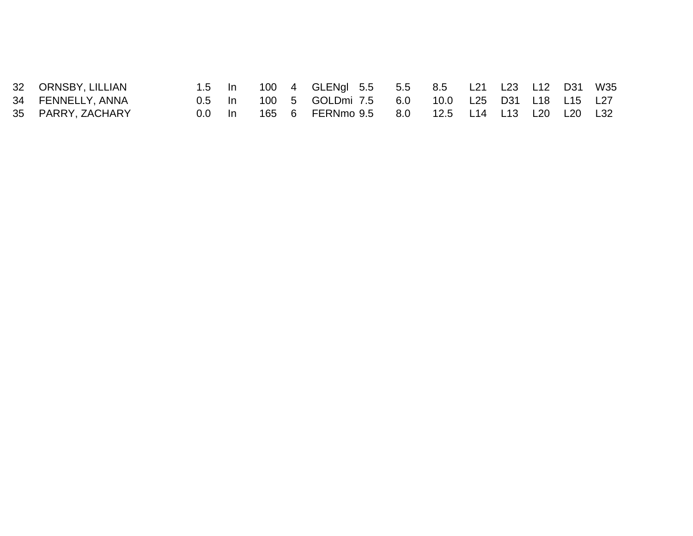| 32 ORNSBY, LILLIAN |        |  | 1.5 In 100 4 GLENgl 5.5 5.5 8.5 L21 L23 L12 D31 W35  |  |  |  |  |
|--------------------|--------|--|------------------------------------------------------|--|--|--|--|
| 34 FENNELLY, ANNA  |        |  | 0.5 In 100 5 GOLDmi 7.5 6.0 10.0 L25 D31 L18 L15 L27 |  |  |  |  |
| 35 PARRY, ZACHARY  | 0.0 ln |  | 165 6 FERNmo 9.5 8.0 12.5 L14 L13 L20 L20 L32        |  |  |  |  |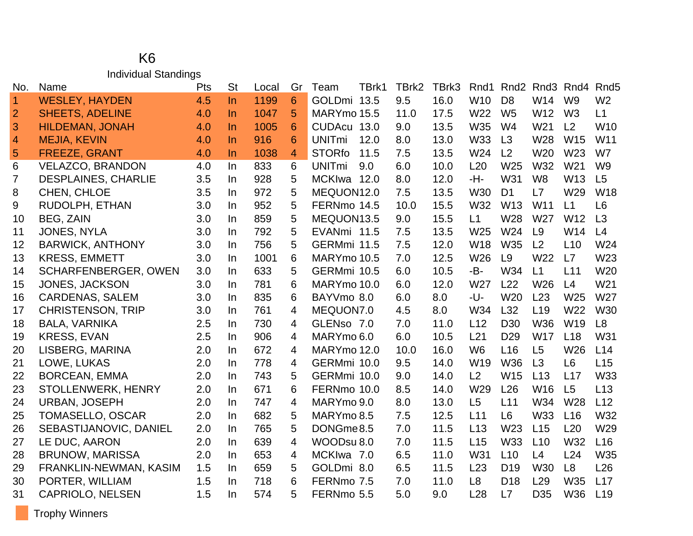#### K6 Individual Standings

| No.            | Name                        | Pts | <b>St</b> | Local | Gr | Team                  | TBrk1 | TBrk2 | TBrk3 | Rnd1            | Rnd <sub>2</sub> | Rnd <sub>3</sub> | Rnd4            | Rnd <sub>5</sub> |
|----------------|-----------------------------|-----|-----------|-------|----|-----------------------|-------|-------|-------|-----------------|------------------|------------------|-----------------|------------------|
| $\overline{1}$ | <b>WESLEY, HAYDEN</b>       | 4.5 | $\ln$     | 1199  | 6  | GOLDmi 13.5           |       | 9.5   | 16.0  | W <sub>10</sub> | D <sub>8</sub>   | W14              | W <sub>9</sub>  | W <sub>2</sub>   |
| $\overline{2}$ | <b>SHEETS, ADELINE</b>      | 4.0 | $\ln$     | 1047  | 5  | MARYmo 15.5           |       | 11.0  | 17.5  | W22             | W <sub>5</sub>   | W12              | W <sub>3</sub>  | L1               |
| 3              | <b>HILDEMAN, JONAH</b>      | 4.0 | $\ln$     | 1005  | 6  | CUDAcu 13.0           |       | 9.0   | 13.5  | W35             | W4               | W21              | L2              | W <sub>10</sub>  |
| $\overline{4}$ | <b>MEJIA, KEVIN</b>         | 4.0 | $\ln$     | 916   | 6  | <b>UNITmi</b><br>12.0 |       | 8.0   | 13.0  | <b>W33</b>      | L3               | W28              | W15             | W11              |
| 5              | <b>FREEZE, GRANT</b>        | 4.0 | $\ln$     | 1038  | 4  | <b>STORfo</b><br>11.5 |       | 7.5   | 13.5  | W24             | L2               | W20              | W23             | W7               |
| 6              | <b>VELAZCO, BRANDON</b>     | 4.0 | In.       | 833   | 6  | <b>UNITmi</b><br>9.0  |       | 6.0   | 10.0  | L20             | W <sub>25</sub>  | W32              | W <sub>21</sub> | W <sub>9</sub>   |
| 7              | <b>DESPLAINES, CHARLIE</b>  | 3.5 | In.       | 928   | 5  | MCKIwa 12.0           |       | 8.0   | 12.0  | -H-             | W31              | W <sub>8</sub>   | W13             | L5               |
| 8              | CHEN, CHLOE                 | 3.5 | In.       | 972   | 5  | MEQUON12.0            |       | 7.5   | 13.5  | <b>W30</b>      | D <sub>1</sub>   | L7               | W29             | <b>W18</b>       |
| 9              | RUDOLPH, ETHAN              | 3.0 | In.       | 952   | 5  | FERNmo 14.5           |       | 10.0  | 15.5  | W32             | W13              | W11              | L1              | L <sub>6</sub>   |
| 10             | <b>BEG, ZAIN</b>            | 3.0 | In.       | 859   | 5  | MEQUON13.5            |       | 9.0   | 15.5  | L1              | W28              | W27              | W12             | L3               |
| 11             | <b>JONES, NYLA</b>          | 3.0 | In.       | 792   | 5  | EVANmi 11.5           |       | 7.5   | 13.5  | W25             | W24              | L9               | W14             | L4               |
| 12             | <b>BARWICK, ANTHONY</b>     | 3.0 | In.       | 756   | 5  | GERMmi 11.5           |       | 7.5   | 12.0  | <b>W18</b>      | <b>W35</b>       | L2               | L10             | W24              |
| 13             | <b>KRESS, EMMETT</b>        | 3.0 | In.       | 1001  | 6  | MARYmo 10.5           |       | 7.0   | 12.5  | W26             | L <sub>9</sub>   | W22              | L7              | W23              |
| 14             | <b>SCHARFENBERGER, OWEN</b> | 3.0 | In.       | 633   | 5  | GERMmi 10.5           |       | 6.0   | 10.5  | -B-             | W34              | L1               | L11             | W20              |
| 15             | JONES, JACKSON              | 3.0 | In.       | 781   | 6  | MARYmo 10.0           |       | 6.0   | 12.0  | W27             | L22              | W26              | L4              | W21              |
| 16             | <b>CARDENAS, SALEM</b>      | 3.0 | In.       | 835   | 6  | BAYVmo 8.0            |       | 6.0   | 8.0   | -U-             | W <sub>20</sub>  | L23              | W25             | W27              |
| 17             | <b>CHRISTENSON, TRIP</b>    | 3.0 | In.       | 761   | 4  | MEQUON7.0             |       | 4.5   | 8.0   | W34             | L32              | L <sub>19</sub>  | W22             | <b>W30</b>       |
| 18             | <b>BALA, VARNIKA</b>        | 2.5 | In.       | 730   | 4  | GLENso 7.0            |       | 7.0   | 11.0  | L12             | D <sub>30</sub>  | W36              | W <sub>19</sub> | L8               |
| 19             | <b>KRESS, EVAN</b>          | 2.5 | In.       | 906   | 4  | MARYmo 6.0            |       | 6.0   | 10.5  | L21             | D <sub>29</sub>  | <b>W17</b>       | L18             | W31              |
| 20             | LISBERG, MARINA             | 2.0 | In.       | 672   | 4  | MARYmo 12.0           |       | 10.0  | 16.0  | W <sub>6</sub>  | L16              | L <sub>5</sub>   | W26             | L14              |
| 21             | LOWE, LUKAS                 | 2.0 | In.       | 778   | 4  | GERMmi 10.0           |       | 9.5   | 14.0  | W19             | <b>W36</b>       | L3               | L <sub>6</sub>  | L15              |
| 22             | <b>BORCEAN, EMMA</b>        | 2.0 | In.       | 743   | 5  | GERMmi 10.0           |       | 9.0   | 14.0  | L2              | W15              | L13              | L17             | W33              |
| 23             | STOLLENWERK, HENRY          | 2.0 | In.       | 671   | 6  | FERNmo 10.0           |       | 8.5   | 14.0  | W29             | L26              | W16              | L5              | L13              |
| 24             | <b>URBAN, JOSEPH</b>        | 2.0 | In.       | 747   | 4  | MARYmo 9.0            |       | 8.0   | 13.0  | L <sub>5</sub>  | L11              | W34              | W <sub>28</sub> | L12              |
| 25             | TOMASELLO, OSCAR            | 2.0 | In.       | 682   | 5  | MARYmo 8.5            |       | 7.5   | 12.5  | L11             | L <sub>6</sub>   | W33              | L16             | W32              |
| 26             | SEBASTIJANOVIC, DANIEL      | 2.0 | In.       | 765   | 5  | DONGme8.5             |       | 7.0   | 11.5  | L13             | W <sub>23</sub>  | L15              | L20             | W29              |
| 27             | LE DUC, AARON               | 2.0 | $\ln$     | 639   | 4  | WOODsu 8.0            |       | 7.0   | 11.5  | L15             | W33              | L10              | W32             | L <sub>16</sub>  |
| 28             | <b>BRUNOW, MARISSA</b>      | 2.0 | In.       | 653   | 4  | MCKIwa 7.0            |       | 6.5   | 11.0  | W31             | L10              | L4               | L24             | W35              |
| 29             | FRANKLIN-NEWMAN, KASIM      | 1.5 | In.       | 659   | 5  | GOLDmi 8.0            |       | 6.5   | 11.5  | L23             | D <sub>19</sub>  | W30              | L8              | L26              |
| 30             | PORTER, WILLIAM             | 1.5 | In.       | 718   | 6  | FERNmo 7.5            |       | 7.0   | 11.0  | L8              | D <sub>18</sub>  | L <sub>29</sub>  | W35             | L17              |
| 31             | <b>CAPRIOLO, NELSEN</b>     | 1.5 | In.       | 574   | 5  | FERNmo 5.5            |       | 5.0   | 9.0   | L28             | L7               | D <sub>35</sub>  | W36             | L19              |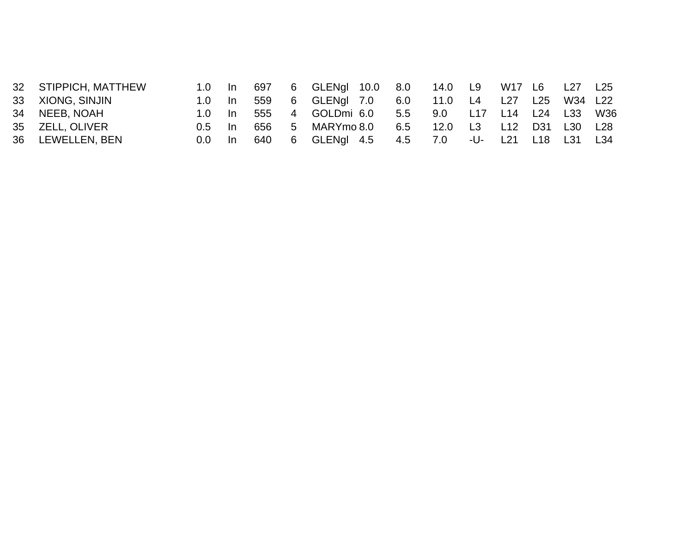| 32 STIPPICH, MATTHEW |                |    |     | 1.0 In 697 6 GLENgl 10.0 8.0 14.0 L9 W17 L6 L27 L25 |         |     |     |     |             |     |
|----------------------|----------------|----|-----|-----------------------------------------------------|---------|-----|-----|-----|-------------|-----|
| 33 XIONG, SINJIN     | $1.0 \quad$ In |    |     | 559 6 GLENgl 7.0 6.0 11.0 L4 L27                    |         |     |     | L25 | W34 L22     |     |
| 34 NEEB, NOAH        | 1.0 In         |    |     | 555   4   GOLDmi   6.0   5.5                        | 9.0 L17 |     |     |     | L14 L24 L33 | W36 |
| 35 ZELL, OLIVER      | 0.5 In         |    |     | 656    5    MARYmo    8.0    6.5                    | 12.0    | L3  | L12 | D31 | L30 L28     |     |
| 36 LEWELLEN, BEN     | 0.0            | In | 640 | 6 GLENgl 4.5 4.5 7.0                                |         | -U- | L21 | L18 | L31 L34     |     |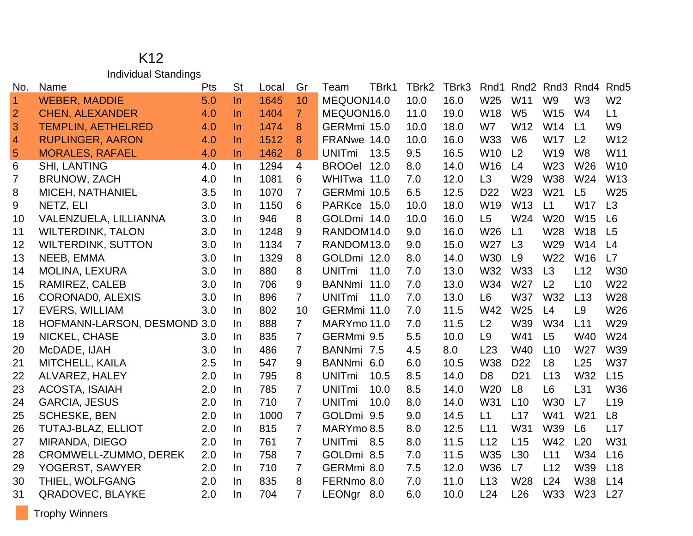#### K12 Individual Standings

| No.            | Name                         | Pts | <b>St</b> | Local | Gr             | Team          | TBrk1 | TBrk2 | TBrk3 | Rnd1            | Rnd <sub>2</sub> | Rnd3            | Rnd4            | Rnd <sub>5</sub> |
|----------------|------------------------------|-----|-----------|-------|----------------|---------------|-------|-------|-------|-----------------|------------------|-----------------|-----------------|------------------|
| $\vert$ 1      | <b>WEBER, MADDIE</b>         | 5.0 | $\ln$     | 1645  | 10             | MEQUON14.0    |       | 10.0  | 16.0  | W25             | W11              | W <sub>9</sub>  | W <sub>3</sub>  | W <sub>2</sub>   |
| $\overline{2}$ | <b>CHEN, ALEXANDER</b>       | 4.0 | $\ln$     | 1404  | $\overline{7}$ | MEQUON16.0    |       | 11.0  | 19.0  | W18             | W <sub>5</sub>   | W <sub>15</sub> | W4              | L1               |
| 3              | <b>TEMPLIN, AETHELRED</b>    | 4.0 | $\ln$     | 1474  | 8              | GERMmi 15.0   |       | 10.0  | 18.0  | W7              | W12              | W14             | L1              | W <sub>9</sub>   |
| $\overline{4}$ | <b>RUPLINGER, AARON</b>      | 4.0 | $\ln$     | 1512  | 8              | FRANwe 14.0   |       | 10.0  | 16.0  | <b>W33</b>      | W <sub>6</sub>   | W17             | L <sub>2</sub>  | W12              |
| $\overline{5}$ | <b>MORALES, RAFAEL</b>       | 4.0 | <b>In</b> | 1462  | 8              | <b>UNITmi</b> | 13.5  | 9.5   | 16.5  | W <sub>10</sub> | L2               | W19             | W <sub>8</sub>  | W11              |
| 6              | <b>SHI, LANTING</b>          | 4.0 | <b>In</b> | 1294  | $\overline{4}$ | BROOel 12.0   |       | 8.0   | 14.0  | W16             | L4               | W23             | W26             | W10              |
| 7              | <b>BRUNOW, ZACH</b>          | 4.0 | $\ln$     | 1081  | 6              | WHITwa 11.0   |       | 7.0   | 12.0  | L3              | W29              | <b>W38</b>      | W24             | W <sub>13</sub>  |
| 8              | MICEH, NATHANIEL             | 3.5 | <u>In</u> | 1070  | $\overline{7}$ | GERMmi 10.5   |       | 6.5   | 12.5  | D <sub>22</sub> | W23              | W21             | L <sub>5</sub>  | W25              |
| 9              | NETZ, ELI                    | 3.0 | <b>In</b> | 1150  | 6              | PARKce 15.0   |       | 10.0  | 18.0  | W19             | W13              | L1              | <b>W17</b>      | L3               |
| 10             | VALENZUELA, LILLIANNA        | 3.0 | $\ln$     | 946   | 8              | GOLDmi 14.0   |       | 10.0  | 16.0  | L5              | W24              | W <sub>20</sub> | W15             | L6               |
| 11             | <b>WILTERDINK, TALON</b>     | 3.0 | <b>In</b> | 1248  | 9              | RANDOM14.0    |       | 9.0   | 16.0  | W26             | L1               | W28             | W18             | L5               |
| 12             | <b>WILTERDINK, SUTTON</b>    | 3.0 | In        | 1134  | $\overline{7}$ | RANDOM13.0    |       | 9.0   | 15.0  | W27             | L3               | W29             | W14             | L4               |
| 13             | NEEB, EMMA                   | 3.0 | <b>In</b> | 1329  | 8              | GOLDmi 12.0   |       | 8.0   | 14.0  | W30             | L9               | W22             | W <sub>16</sub> | L7               |
| 14             | <b>MOLINA, LEXURA</b>        | 3.0 | In        | 880   | 8              | <b>UNITmi</b> | 11.0  | 7.0   | 13.0  | W32             | <b>W33</b>       | L3              | L12             | W30              |
| 15             | RAMIREZ, CALEB               | 3.0 | In.       | 706   | 9              | BANNmi 11.0   |       | 7.0   | 13.0  | W34             | W27              | L <sub>2</sub>  | L10             | W22              |
| 16             | CORONADO, ALEXIS             | 3.0 | In        | 896   | $\overline{7}$ | <b>UNITmi</b> | 11.0  | 7.0   | 13.0  | L <sub>6</sub>  | <b>W37</b>       | W32             | L13             | W28              |
| 17             | <b>EVERS, WILLIAM</b>        | 3.0 | In.       | 802   | 10             | GERMmi 11.0   |       | 7.0   | 11.5  | W42             | W25              | L4              | L <sub>9</sub>  | W26              |
| 18             | HOFMANN-LARSON, DESMOND 3.0  |     | In        | 888   | $\overline{7}$ | MARYmo 11.0   |       | 7.0   | 11.5  | L2              | W39              | W34             | L11             | W29              |
| 19             | NICKEL, CHASE                | 3.0 | In        | 835   | $\overline{7}$ | GERMmi 9.5    |       | 5.5   | 10.0  | L <sub>9</sub>  | W41              | L5              | <b>W40</b>      | W24              |
| 20             | McDADE, IJAH                 | 3.0 | In        | 486   | $\overline{7}$ | BANNmi 7.5    |       | 4.5   | 8.0   | L23             | W40              | L10             | W27             | W39              |
| 21             | MITCHELL, KAILA              | 2.5 | <u>In</u> | 547   | 9              | BANNmi 6.0    |       | 6.0   | 10.5  | <b>W38</b>      | D <sub>22</sub>  | L <sub>8</sub>  | L25             | <b>W37</b>       |
| 22             | ALVAREZ, HALEY               | 2.0 | <b>In</b> | 795   | 8              | <b>UNITmi</b> | 10.5  | 8.5   | 14.0  | D <sub>8</sub>  | D <sub>21</sub>  | L13             | W32             | L15              |
| 23             | ACOSTA, ISAIAH               | 2.0 | In.       | 785   | 7              | <b>UNITmi</b> | 10.0  | 8.5   | 14.0  | W20             | L8               | L <sub>6</sub>  | L31             | W36              |
| 24             | <b>GARCIA, JESUS</b>         | 2.0 | <b>In</b> | 710   | $\overline{7}$ | <b>UNITmi</b> | 10.0  | 8.0   | 14.0  | W31             | L10              | <b>W30</b>      | L7              | L <sub>19</sub>  |
| 25             | <b>SCHESKE, BEN</b>          | 2.0 | In.       | 1000  | $\overline{7}$ | GOLDmi 9.5    |       | 9.0   | 14.5  | L1              | L17              | W41             | W21             | L <sub>8</sub>   |
| 26             | <b>TUTAJ-BLAZ, ELLIOT</b>    | 2.0 | <b>In</b> | 815   | $\overline{7}$ | MARYmo 8.5    |       | 8.0   | 12.5  | L11             | W31              | W39             | L <sub>6</sub>  | L17              |
| 27             | MIRANDA, DIEGO               | 2.0 | <b>In</b> | 761   | $\overline{7}$ | UNITmi 8.5    |       | 8.0   | 11.5  | L12             | L15              | W42             | L20             | W31              |
| 28             | <b>CROMWELL-ZUMMO, DEREK</b> | 2.0 | In.       | 758   | $\overline{7}$ | GOLDmi 8.5    |       | 7.0   | 11.5  | W35             | L <sub>30</sub>  | L11             | W34             | L16              |
| 29             | YOGERST, SAWYER              | 2.0 | In        | 710   | $\overline{7}$ | GERMmi 8.0    |       | 7.5   | 12.0  | W36             | L7               | L12             | W39             | L18              |
| 30             | THIEL, WOLFGANG              | 2.0 | <b>In</b> | 835   | 8              | FERNmo 8.0    |       | 7.0   | 11.0  | L13             | W28              | L24             | <b>W38</b>      | L14              |
| 31             | QRADOVEC, BLAYKE             | 2.0 | In.       | 704   | $\overline{7}$ | LEONgr 8.0    |       | 6.0   | 10.0  | L24             | L26              | W33             | W23             | L27              |

Trophy Winners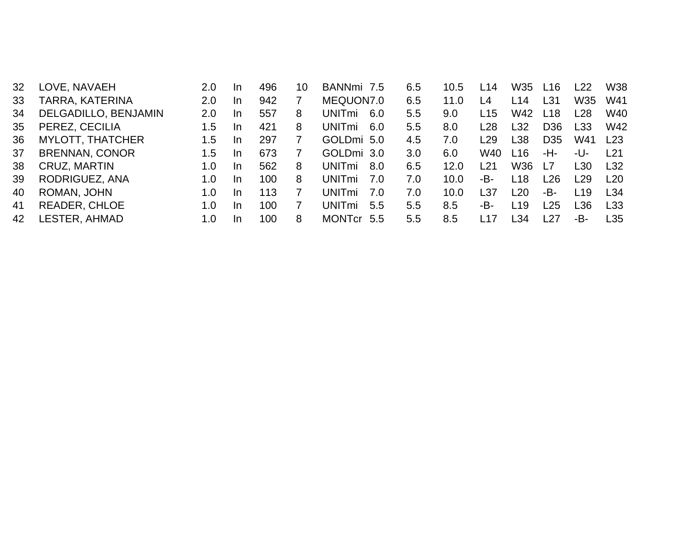| 32  | LOVE, NAVAEH            | 2.0 | In.       | 496 | 10 | BANNmi 7.5           | 6.5 | 10.5 | L14             | W35  | L16             | L22.            | <b>W38</b>      |
|-----|-------------------------|-----|-----------|-----|----|----------------------|-----|------|-----------------|------|-----------------|-----------------|-----------------|
| 33  | TARRA, KATERINA         | 2.0 | -In       | 942 |    | MEQUON7.0            | 6.5 | 11.0 | L4              | L14  | L31             | W35             | W41             |
| 34  | DELGADILLO, BENJAMIN    | 2.0 | In.       | 557 | 8  | <b>UNITmi</b><br>6.0 | 5.5 | 9.0  | L15             | W42  | L18             | L <sub>28</sub> | W40             |
| 35  | PEREZ, CECILIA          | 1.5 | -In       | 421 | 8  | <b>UNITmi</b><br>6.0 | 5.5 | 8.0  | L28             | L32  | D <sub>36</sub> | L33             | W42             |
| 36  | <b>MYLOTT, THATCHER</b> | 1.5 | -In       | 297 |    | GOLDmi 5.0           | 4.5 | 7.0  | L29             | L38  | D <sub>35</sub> | W41             | L23             |
| 37  | <b>BRENNAN, CONOR</b>   | 1.5 | -In       | 673 |    | GOLDmi 3.0           | 3.0 | 6.0  | W40             | L16  | -H-             | -U-             | l 21            |
| -38 | CRUZ, MARTIN            | 1.0 | In.       | 562 | 8  | <b>UNITmi</b><br>8.0 | 6.5 | 12.0 | L21             | W36  | l 7             | ∟30             | L32             |
| 39  | RODRIGUEZ, ANA          | 1.0 | <b>In</b> | 100 | 8  | UNITmi<br>. 7.O      | 7.0 | 10.0 | -В-             | L18  | ∟26             | l 29            | L <sub>20</sub> |
| 40  | ROMAN, JOHN             | 1.0 | -In       | 113 |    | <b>UNITmi</b><br>7.0 | 7.0 | 10.0 | L <sub>37</sub> | L20  | -B-             | L <sub>19</sub> | L34             |
| 41  | <b>READER, CHLOE</b>    | 1.0 | -In       | 100 |    | UNITmi<br>5.5        | 5.5 | 8.5  | -В-             | L19  | -25             | L36             | L <sub>33</sub> |
| 42  | LESTER, AHMAD           | 1.0 | In.       | 100 | 8  | MONTcr 5.5           | 5.5 | 8.5  | $-17$           | ∣ 34 | -27             | -В-             | L35             |
|     |                         |     |           |     |    |                      |     |      |                 |      |                 |                 |                 |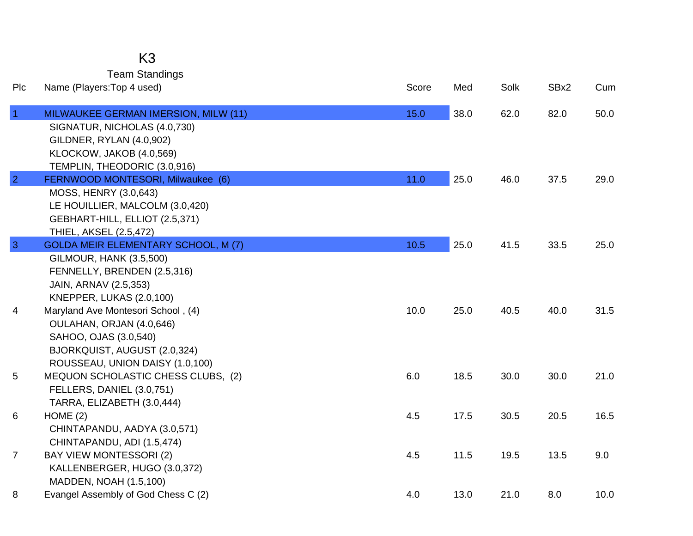## K3

Team Standings

| Plc            | Name (Players: Top 4 used)                                                                                                                                       | Score | Med  | Solk | SBx2 | Cum  |
|----------------|------------------------------------------------------------------------------------------------------------------------------------------------------------------|-------|------|------|------|------|
| $\overline{1}$ | MILWAUKEE GERMAN IMERSION, MILW (11)<br>SIGNATUR, NICHOLAS (4.0,730)<br>GILDNER, RYLAN (4.0,902)<br>KLOCKOW, JAKOB (4.0,569)                                     | 15.0  | 38.0 | 62.0 | 82.0 | 50.0 |
| $\overline{2}$ | TEMPLIN, THEODORIC (3.0,916)<br>FERNWOOD MONTESORI, Milwaukee (6)<br>MOSS, HENRY (3.0,643)<br>LE HOUILLIER, MALCOLM (3.0,420)<br>GEBHART-HILL, ELLIOT (2.5,371)  | 11.0  | 25.0 | 46.0 | 37.5 | 29.0 |
| $\overline{3}$ | THIEL, AKSEL (2.5,472)<br><b>GOLDA MEIR ELEMENTARY SCHOOL, M (7)</b><br><b>GILMOUR, HANK (3.5,500)</b><br>FENNELLY, BRENDEN (2.5,316)                            | 10.5  | 25.0 | 41.5 | 33.5 | 25.0 |
| 4              | JAIN, ARNAV (2.5,353)<br><b>KNEPPER, LUKAS (2.0,100)</b><br>Maryland Ave Montesori School, (4)<br>OULAHAN, ORJAN (4.0,646)<br>SAHOO, OJAS (3.0,540)              | 10.0  | 25.0 | 40.5 | 40.0 | 31.5 |
| 5              | BJORKQUIST, AUGUST (2.0,324)<br>ROUSSEAU, UNION DAISY (1.0,100)<br>MEQUON SCHOLASTIC CHESS CLUBS, (2)<br>FELLERS, DANIEL (3.0,751)<br>TARRA, ELIZABETH (3.0,444) | 6.0   | 18.5 | 30.0 | 30.0 | 21.0 |
| 6              | HOME(2)<br>CHINTAPANDU, AADYA (3.0,571)<br>CHINTAPANDU, ADI (1.5,474)                                                                                            | 4.5   | 17.5 | 30.5 | 20.5 | 16.5 |
| $\overline{7}$ | <b>BAY VIEW MONTESSORI (2)</b><br>KALLENBERGER, HUGO (3.0,372)<br>MADDEN, NOAH (1.5,100)                                                                         | 4.5   | 11.5 | 19.5 | 13.5 | 9.0  |
| 8              | Evangel Assembly of God Chess C (2)                                                                                                                              | 4.0   | 13.0 | 21.0 | 8.0  | 10.0 |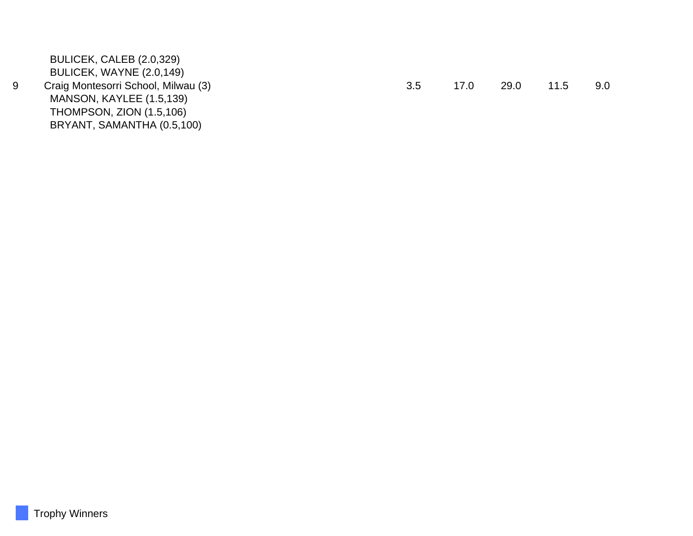BULICEK, CALEB (2.0,329) BULICEK, WAYNE (2.0,149) 9 Craig Montesorri School, Milwau (3) 3.5 17.0 29.0 11.5 9.0 MANSON, KAYLEE (1.5,139) THOMPSON, ZION (1.5,106) BRYANT, SAMANTHA (0.5,100)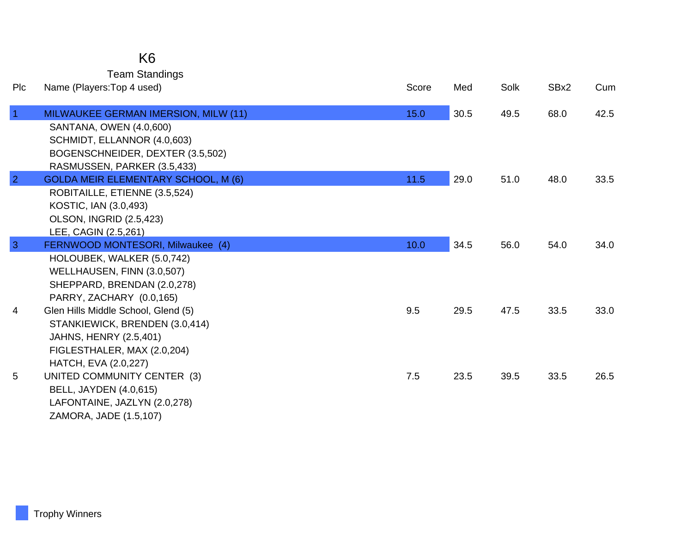### K6

Team Standings

| Plc            | Name (Players: Top 4 used)                                                                                                                                        | Score | Med  | Solk | SBx2 | Cum  |
|----------------|-------------------------------------------------------------------------------------------------------------------------------------------------------------------|-------|------|------|------|------|
| $\overline{1}$ | MILWAUKEE GERMAN IMERSION, MILW (11)<br>SANTANA, OWEN (4.0,600)<br>SCHMIDT, ELLANNOR (4.0,603)<br>BOGENSCHNEIDER, DEXTER (3.5,502)<br>RASMUSSEN, PARKER (3.5,433) | 15.0  | 30.5 | 49.5 | 68.0 | 42.5 |
| $\overline{2}$ | <b>GOLDA MEIR ELEMENTARY SCHOOL, M (6)</b><br>ROBITAILLE, ETIENNE (3.5,524)<br>KOSTIC, IAN (3.0,493)<br><b>OLSON, INGRID (2.5,423)</b><br>LEE, CAGIN (2.5,261)    | 11.5  | 29.0 | 51.0 | 48.0 | 33.5 |
| $\overline{3}$ | FERNWOOD MONTESORI, Milwaukee (4)<br>HOLOUBEK, WALKER (5.0,742)<br>WELLHAUSEN, FINN (3.0,507)<br>SHEPPARD, BRENDAN (2.0,278)<br>PARRY, ZACHARY (0.0,165)          | 10.0  | 34.5 | 56.0 | 54.0 | 34.0 |
| 4              | Glen Hills Middle School, Glend (5)<br>STANKIEWICK, BRENDEN (3.0,414)<br><b>JAHNS, HENRY (2.5,401)</b><br>FIGLESTHALER, MAX (2.0,204)<br>HATCH, EVA (2.0,227)     | 9.5   | 29.5 | 47.5 | 33.5 | 33.0 |
| 5              | UNITED COMMUNITY CENTER (3)<br><b>BELL, JAYDEN (4.0,615)</b><br>LAFONTAINE, JAZLYN (2.0,278)<br>ZAMORA, JADE (1.5,107)                                            | 7.5   | 23.5 | 39.5 | 33.5 | 26.5 |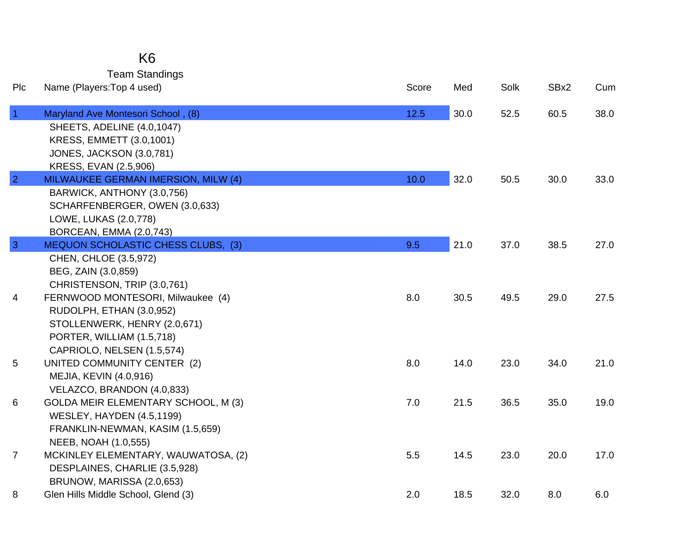| K6                    |
|-----------------------|
| <b>Team Standings</b> |

| Plc            | Name (Players: Top 4 used)                 | Score | Med  | Solk | SBx2 | Cum  |
|----------------|--------------------------------------------|-------|------|------|------|------|
| $\overline{1}$ | Maryland Ave Montesori School, (8)         | 12.5  | 30.0 | 52.5 | 60.5 | 38.0 |
|                | SHEETS, ADELINE (4.0,1047)                 |       |      |      |      |      |
|                | KRESS, EMMETT (3.0,1001)                   |       |      |      |      |      |
|                | <b>JONES, JACKSON (3.0,781)</b>            |       |      |      |      |      |
|                | KRESS, EVAN (2.5,906)                      |       |      |      |      |      |
| $\overline{2}$ | MILWAUKEE GERMAN IMERSION, MILW (4)        | 10.0  | 32.0 | 50.5 | 30.0 | 33.0 |
|                | BARWICK, ANTHONY (3.0,756)                 |       |      |      |      |      |
|                | SCHARFENBERGER, OWEN (3.0,633)             |       |      |      |      |      |
|                | LOWE, LUKAS (2.0,778)                      |       |      |      |      |      |
|                | BORCEAN, EMMA (2.0,743)                    |       |      |      |      |      |
| $\overline{3}$ | <b>MEQUON SCHOLASTIC CHESS CLUBS, (3)</b>  | 9.5   | 21.0 | 37.0 | 38.5 | 27.0 |
|                | CHEN, CHLOE (3.5,972)                      |       |      |      |      |      |
|                | BEG, ZAIN (3.0,859)                        |       |      |      |      |      |
|                | CHRISTENSON, TRIP (3.0,761)                |       |      |      |      |      |
| 4              | FERNWOOD MONTESORI, Milwaukee (4)          | 8.0   | 30.5 | 49.5 | 29.0 | 27.5 |
|                | RUDOLPH, ETHAN (3.0,952)                   |       |      |      |      |      |
|                | STOLLENWERK, HENRY (2.0,671)               |       |      |      |      |      |
|                | PORTER, WILLIAM (1.5,718)                  |       |      |      |      |      |
|                | CAPRIOLO, NELSEN (1.5,574)                 |       |      |      |      |      |
| 5              | UNITED COMMUNITY CENTER (2)                | 8.0   | 14.0 | 23.0 | 34.0 | 21.0 |
|                | MEJIA, KEVIN (4.0,916)                     |       |      |      |      |      |
|                | VELAZCO, BRANDON (4.0,833)                 |       |      |      |      |      |
| 6              | <b>GOLDA MEIR ELEMENTARY SCHOOL, M (3)</b> | 7.0   | 21.5 | 36.5 | 35.0 | 19.0 |
|                | <b>WESLEY, HAYDEN (4.5,1199)</b>           |       |      |      |      |      |
|                | FRANKLIN-NEWMAN, KASIM (1.5,659)           |       |      |      |      |      |
|                | NEEB, NOAH (1.0,555)                       |       |      |      |      |      |
| $\overline{7}$ | MCKINLEY ELEMENTARY, WAUWATOSA, (2)        | 5.5   | 14.5 | 23.0 | 20.0 | 17.0 |
|                | DESPLAINES, CHARLIE (3.5,928)              |       |      |      |      |      |
|                | BRUNOW, MARISSA (2.0,653)                  |       |      |      |      |      |
| 8              | Glen Hills Middle School, Glend (3)        | 2.0   | 18.5 | 32.0 | 8.0  | 6.0  |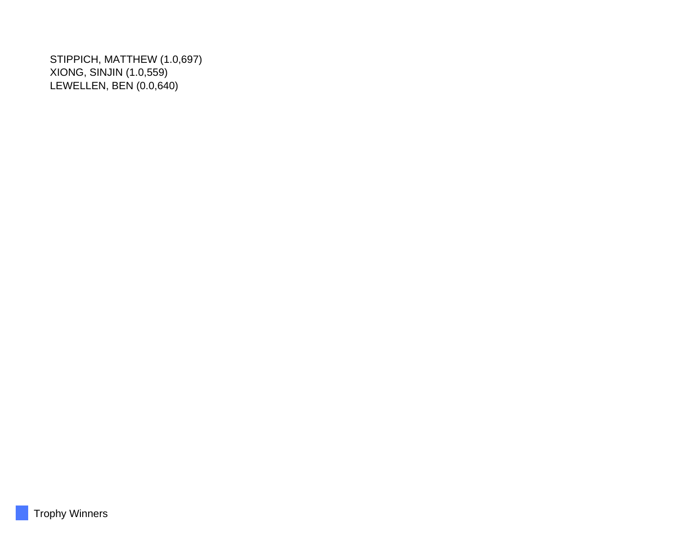STIPPICH, MATTHEW (1.0,697) XIONG, SINJIN (1.0,559) LEWELLEN, BEN (0.0,640)